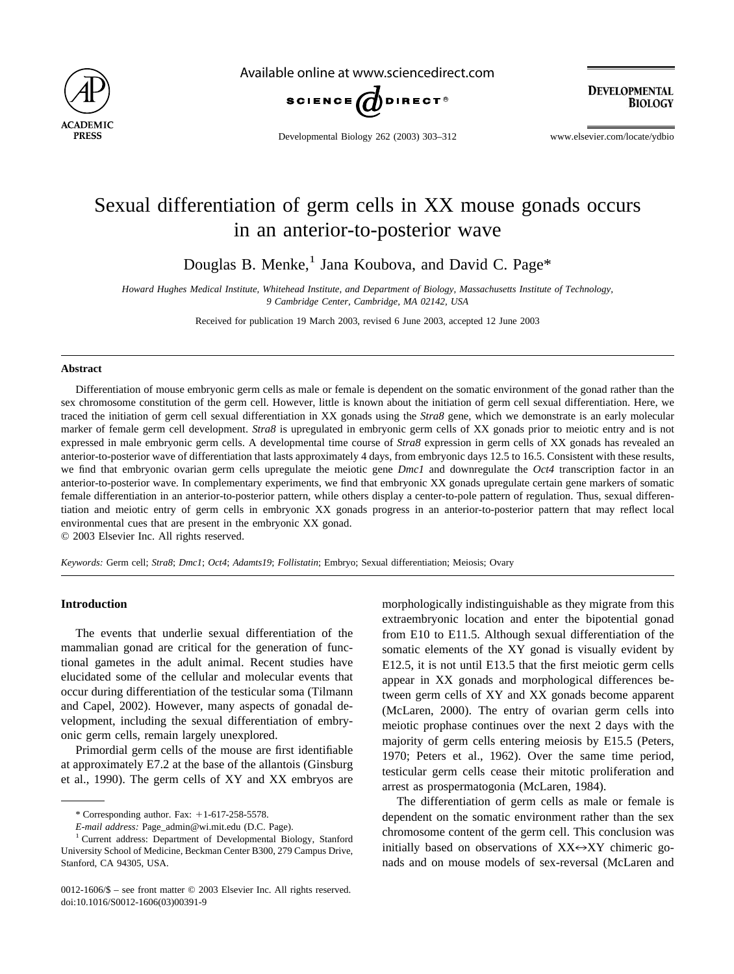

Available online at www.sciencedirect.com



**DEVELOPMENTAL BIOLOGY** 

Developmental Biology 262 (2003) 303–312 www.elsevier.com/locate/ydbio

# Sexual differentiation of germ cells in XX mouse gonads occurs in an anterior-to-posterior wave

Douglas B. Menke,<sup>1</sup> Jana Koubova, and David C. Page\*

*Howard Hughes Medical Institute, Whitehead Institute, and Department of Biology, Massachusetts Institute of Technology, 9 Cambridge Center, Cambridge, MA 02142, USA*

Received for publication 19 March 2003, revised 6 June 2003, accepted 12 June 2003

#### **Abstract**

Differentiation of mouse embryonic germ cells as male or female is dependent on the somatic environment of the gonad rather than the sex chromosome constitution of the germ cell. However, little is known about the initiation of germ cell sexual differentiation. Here, we traced the initiation of germ cell sexual differentiation in XX gonads using the *Stra8* gene, which we demonstrate is an early molecular marker of female germ cell development. *Stra8* is upregulated in embryonic germ cells of XX gonads prior to meiotic entry and is not expressed in male embryonic germ cells. A developmental time course of *Stra8* expression in germ cells of XX gonads has revealed an anterior-to-posterior wave of differentiation that lasts approximately 4 days, from embryonic days 12.5 to 16.5. Consistent with these results, we find that embryonic ovarian germ cells upregulate the meiotic gene *Dmc1* and downregulate the *Oct4* transcription factor in an anterior-to-posterior wave. In complementary experiments, we find that embryonic XX gonads upregulate certain gene markers of somatic female differentiation in an anterior-to-posterior pattern, while others display a center-to-pole pattern of regulation. Thus, sexual differentiation and meiotic entry of germ cells in embryonic XX gonads progress in an anterior-to-posterior pattern that may reflect local environmental cues that are present in the embryonic XX gonad.

© 2003 Elsevier Inc. All rights reserved.

*Keywords:* Germ cell; *Stra8*; *Dmc1*; *Oct4*; *Adamts19*; *Follistatin*; Embryo; Sexual differentiation; Meiosis; Ovary

## **Introduction**

The events that underlie sexual differentiation of the mammalian gonad are critical for the generation of functional gametes in the adult animal. Recent studies have elucidated some of the cellular and molecular events that occur during differentiation of the testicular soma [\(Tilmann](#page-9-0) [and Capel, 2002\)](#page-9-0). However, many aspects of gonadal development, including the sexual differentiation of embryonic germ cells, remain largely unexplored.

Primordial germ cells of the mouse are first identifiable at approximately E7.2 at the base of the allantois [\(Ginsburg](#page-9-0) [et al., 1990\).](#page-9-0) The germ cells of XY and XX embryos are

morphologically indistinguishable as they migrate from this extraembryonic location and enter the bipotential gonad from E10 to E11.5. Although sexual differentiation of the somatic elements of the XY gonad is visually evident by E12.5, it is not until E13.5 that the first meiotic germ cells appear in XX gonads and morphological differences between germ cells of XY and XX gonads become apparent [\(McLaren, 2000\)](#page-9-0). The entry of ovarian germ cells into meiotic prophase continues over the next 2 days with the majority of germ cells entering meiosis by E15.5 [\(Peters,](#page-9-0) [1970; Peters et al., 1962\).](#page-9-0) Over the same time period, testicular germ cells cease their mitotic proliferation and arrest as prospermatogonia [\(McLaren, 1984\)](#page-9-0).

The differentiation of germ cells as male or female is dependent on the somatic environment rather than the sex chromosome content of the germ cell. This conclusion was initially based on observations of  $XX \leftrightarrow XY$  chimeric gonads and on mouse models of sex-reversal (McLaren and

 $*$  Corresponding author. Fax:  $+1$ -617-258-5578.

*E-mail address:* Page\_admin@wi.mit.edu (D.C. Page).

<sup>&</sup>lt;sup>1</sup> Current address: Department of Developmental Biology, Stanford University School of Medicine, Beckman Center B300, 279 Campus Drive, Stanford, CA 94305, USA.

<sup>0012-1606/\$ –</sup> see front matter © 2003 Elsevier Inc. All rights reserved. doi:10.1016/S0012-1606(03)00391-9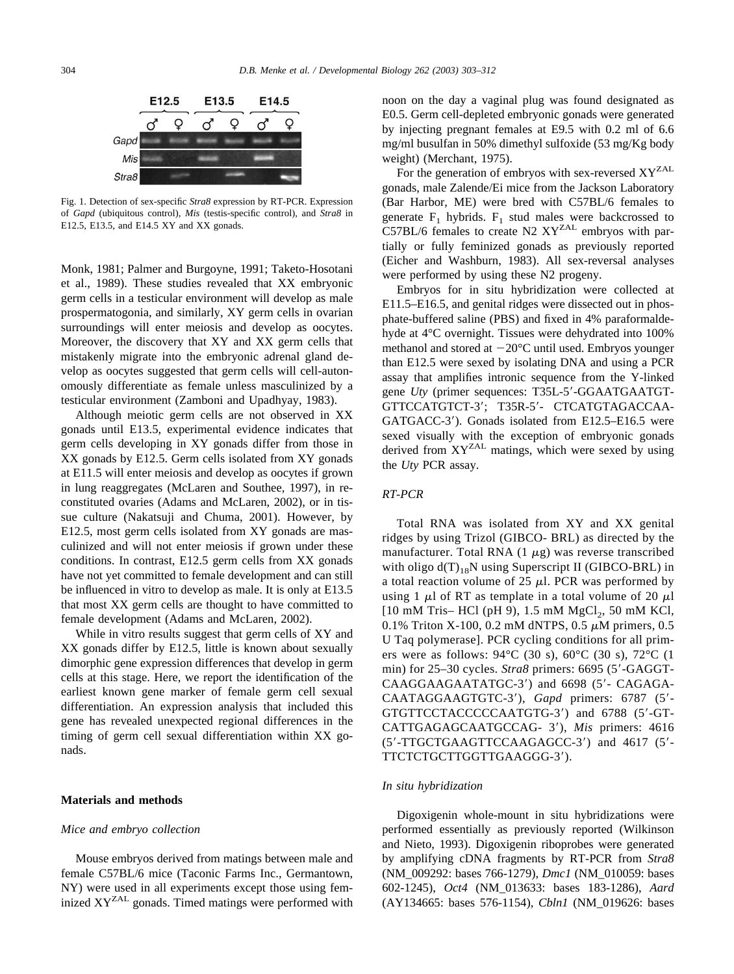<span id="page-1-0"></span>

Fig. 1. Detection of sex-specific *Stra8* expression by RT-PCR. Expression of *Gapd* (ubiquitous control), *Mis* (testis-specific control), and *Stra8* in E12.5, E13.5, and E14.5 XY and XX gonads.

Monk, 1981; Palmer and Burgoyne, 1991; Taketo-Hosotani [et al., 1989\)](#page-9-0). These studies revealed that XX embryonic germ cells in a testicular environment will develop as male prospermatogonia, and similarly, XY germ cells in ovarian surroundings will enter meiosis and develop as oocytes. Moreover, the discovery that XY and XX germ cells that mistakenly migrate into the embryonic adrenal gland develop as oocytes suggested that germ cells will cell-autonomously differentiate as female unless masculinized by a testicular environment [\(Zamboni and Upadhyay, 1983\).](#page-9-0)

Although meiotic germ cells are not observed in XX gonads until E13.5, experimental evidence indicates that germ cells developing in XY gonads differ from those in XX gonads by E12.5. Germ cells isolated from XY gonads at E11.5 will enter meiosis and develop as oocytes if grown in lung reaggregates [\(McLaren and Southee, 1997\)](#page-9-0), in reconstituted ovaries [\(Adams and McLaren, 2002\),](#page-9-0) or in tissue culture [\(Nakatsuji and Chuma, 2001\)](#page-9-0). However, by E12.5, most germ cells isolated from XY gonads are masculinized and will not enter meiosis if grown under these conditions. In contrast, E12.5 germ cells from XX gonads have not yet committed to female development and can still be influenced in vitro to develop as male. It is only at E13.5 that most XX germ cells are thought to have committed to female development [\(Adams and McLaren, 2002\)](#page-9-0).

While in vitro results suggest that germ cells of XY and XX gonads differ by E12.5, little is known about sexually dimorphic gene expression differences that develop in germ cells at this stage. Here, we report the identification of the earliest known gene marker of female germ cell sexual differentiation. An expression analysis that included this gene has revealed unexpected regional differences in the timing of germ cell sexual differentiation within XX gonads.

#### **Materials and methods**

#### *Mice and embryo collection*

Mouse embryos derived from matings between male and female C57BL/6 mice (Taconic Farms Inc., Germantown, NY) were used in all experiments except those using feminized XYZAL gonads. Timed matings were performed with

noon on the day a vaginal plug was found designated as E0.5. Germ cell-depleted embryonic gonads were generated by injecting pregnant females at E9.5 with 0.2 ml of 6.6 mg/ml busulfan in 50% dimethyl sulfoxide (53 mg/Kg body weight) [\(Merchant, 1975\).](#page-9-0)

For the generation of embryos with sex-reversed  $XY^{ZAL}$ gonads, male Zalende/Ei mice from the Jackson Laboratory (Bar Harbor, ME) were bred with C57BL/6 females to generate  $F_1$  hybrids.  $F_1$  stud males were backcrossed to C57BL/6 females to create N2  $XY<sup>ZAL</sup>$  embryos with partially or fully feminized gonads as previously reported [\(Eicher and Washburn, 1983\).](#page-9-0) All sex-reversal analyses were performed by using these N2 progeny.

Embryos for in situ hybridization were collected at E11.5–E16.5, and genital ridges were dissected out in phosphate-buffered saline (PBS) and fixed in 4% paraformaldehyde at 4°C overnight. Tissues were dehydrated into 100% methanol and stored at  $-20^{\circ}$ C until used. Embryos younger than E12.5 were sexed by isolating DNA and using a PCR assay that amplifies intronic sequence from the Y-linked gene *Uty* (primer sequences: T35L-5'-GGAATGAATGT-GTTCCATGTCT-3; T35R-5- CTCATGTAGACCAA-GATGACC-3). Gonads isolated from E12.5–E16.5 were sexed visually with the exception of embryonic gonads derived from XYZAL matings, which were sexed by using the *Uty* PCR assay.

### *RT-PCR*

Total RNA was isolated from XY and XX genital ridges by using Trizol (GIBCO- BRL) as directed by the manufacturer. Total RNA  $(1 \mu g)$  was reverse transcribed with oligo  $d(T)_{18}N$  using Superscript II (GIBCO-BRL) in a total reaction volume of 25  $\mu$ l. PCR was performed by using 1  $\mu$ l of RT as template in a total volume of 20  $\mu$ l  $[10 \text{ mM Tris}-HCl \text{ (pH 9)}, 1.5 \text{ mM MgCl}_2, 50 \text{ mM KCl},$ 0.1% Triton X-100, 0.2 mM dNTPS, 0.5  $\mu$ M primers, 0.5 U Taq polymerase]. PCR cycling conditions for all primers were as follows: 94°C (30 s), 60°C (30 s), 72°C (1 min) for 25–30 cycles. *Stra8* primers: 6695 (5'-GAGGT-CAAGGAAGAATATGC-3') and 6698 (5'- CAGAGA-CAATAGGAAGTGTC-3), *Gapd* primers: 6787 (5- GTGTTCCTACCCCCAATGTG-3) and 6788 (5-GT-CATTGAGAGCAATGCCAG- 3), *Mis* primers: 4616 (5-TTGCTGAAGTTCCAAGAGCC-3) and 4617 (5- TTCTCTGCTTGGTTGAAGGG-3).

## *In situ hybridization*

Digoxigenin whole-mount in situ hybridizations were performed essentially as previously reported [\(Wilkinson](#page-9-0) [and Nieto, 1993\).](#page-9-0) Digoxigenin riboprobes were generated by amplifying cDNA fragments by RT-PCR from *Stra8* (NM\_009292: bases 766-1279), *Dmc1* (NM\_010059: bases 602-1245), *Oct4* (NM\_013633: bases 183-1286), *Aard* (AY134665: bases 576-1154), *Cbln1* (NM\_019626: bases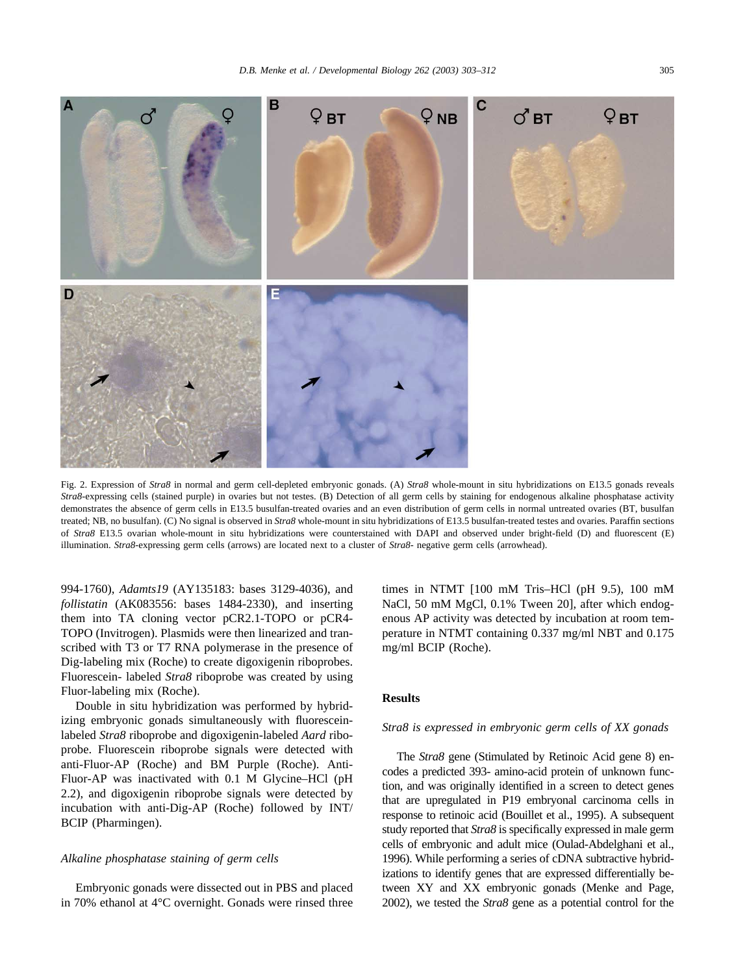<span id="page-2-0"></span>

Fig. 2. Expression of *Stra8* in normal and germ cell-depleted embryonic gonads. (A) *Stra8* whole-mount in situ hybridizations on E13.5 gonads reveals *Stra8*-expressing cells (stained purple) in ovaries but not testes. (B) Detection of all germ cells by staining for endogenous alkaline phosphatase activity demonstrates the absence of germ cells in E13.5 busulfan-treated ovaries and an even distribution of germ cells in normal untreated ovaries (BT, busulfan treated; NB, no busulfan). (C) No signal is observed in *Stra8* whole-mount in situ hybridizations of E13.5 busulfan-treated testes and ovaries. Paraffin sections of *Stra8* E13.5 ovarian whole-mount in situ hybridizations were counterstained with DAPI and observed under bright-field (D) and fluorescent (E) illumination. *Stra8*-expressing germ cells (arrows) are located next to a cluster of *Stra8*- negative germ cells (arrowhead).

994-1760), *Adamts19* (AY135183: bases 3129-4036), and *follistatin* (AK083556: bases 1484-2330), and inserting them into TA cloning vector pCR2.1-TOPO or pCR4- TOPO (Invitrogen). Plasmids were then linearized and transcribed with T3 or T7 RNA polymerase in the presence of Dig-labeling mix (Roche) to create digoxigenin riboprobes. Fluorescein- labeled *Stra8* riboprobe was created by using Fluor-labeling mix (Roche).

Double in situ hybridization was performed by hybridizing embryonic gonads simultaneously with fluoresceinlabeled *Stra8* riboprobe and digoxigenin-labeled *Aard* riboprobe. Fluorescein riboprobe signals were detected with anti-Fluor-AP (Roche) and BM Purple (Roche). Anti-Fluor-AP was inactivated with 0.1 M Glycine–HCl (pH 2.2), and digoxigenin riboprobe signals were detected by incubation with anti-Dig-AP (Roche) followed by INT/ BCIP (Pharmingen).

#### *Alkaline phosphatase staining of germ cells*

Embryonic gonads were dissected out in PBS and placed in 70% ethanol at 4°C overnight. Gonads were rinsed three times in NTMT [100 mM Tris–HCl (pH 9.5), 100 mM NaCl, 50 mM MgCl, 0.1% Tween 20], after which endogenous AP activity was detected by incubation at room temperature in NTMT containing 0.337 mg/ml NBT and 0.175 mg/ml BCIP (Roche).

## **Results**

#### *Stra8 is expressed in embryonic germ cells of XX gonads*

The *Stra8* gene (Stimulated by Retinoic Acid gene 8) encodes a predicted 393- amino-acid protein of unknown function, and was originally identified in a screen to detect genes that are upregulated in P19 embryonal carcinoma cells in response to retinoic acid [\(Bouillet et al., 1995\).](#page-9-0) A subsequent study reported that *Stra8* is specifically expressed in male germ cells of embryonic and adult mice [\(Oulad-Abdelghani et al.,](#page-9-0) [1996\).](#page-9-0) While performing a series of cDNA subtractive hybridizations to identify genes that are expressed differentially between XY and XX embryonic gonads [\(Menke and Page,](#page-9-0) [2002\),](#page-9-0) we tested the *Stra8* gene as a potential control for the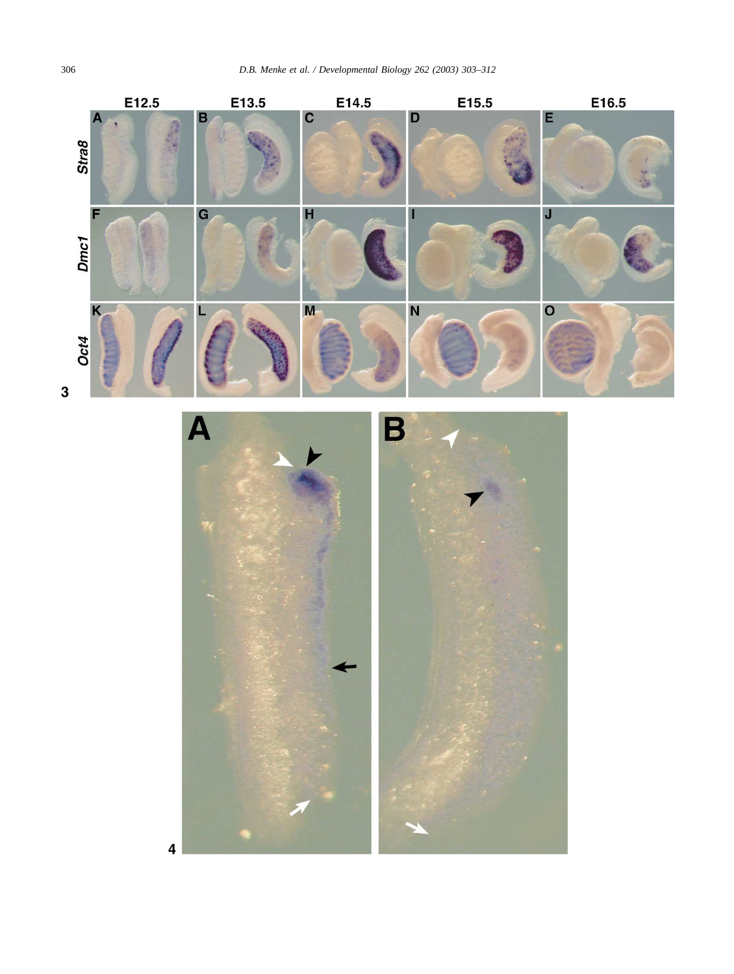



 $\overline{\mathbf{4}}$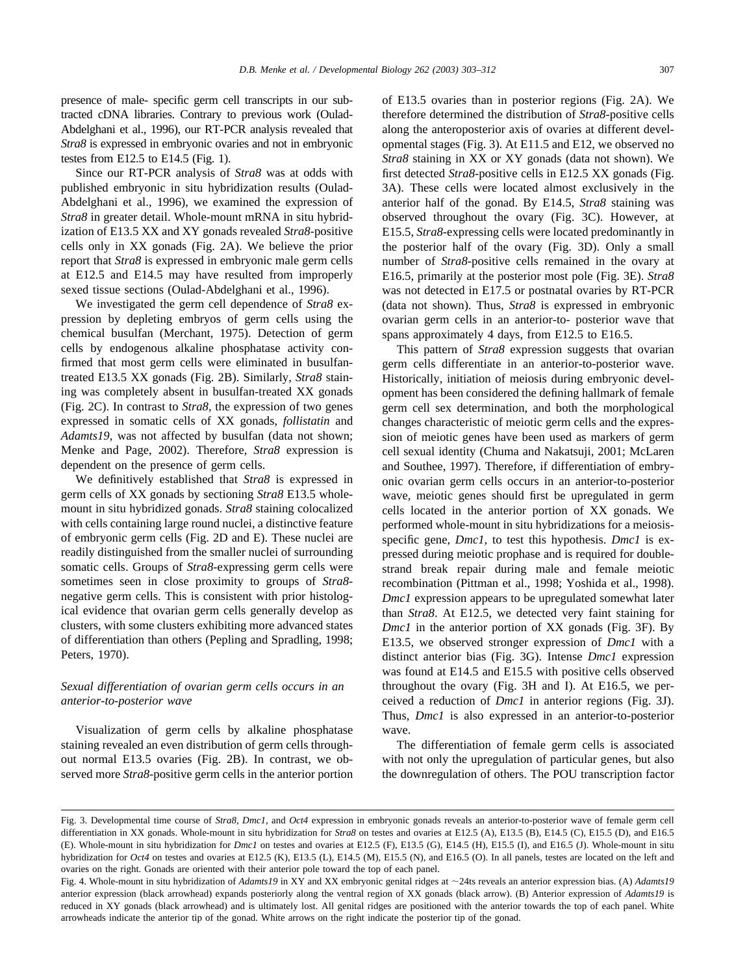<span id="page-4-0"></span>presence of male- specific germ cell transcripts in our subtracted cDNA libraries. Contrary to previous work [\(Oulad-](#page-9-0)[Abdelghani et al., 1996\)](#page-9-0), our RT-PCR analysis revealed that *Stra8* is expressed in embryonic ovaries and not in embryonic testes from E12.5 to E14.5 [\(Fig. 1](#page-1-0)).

Since our RT-PCR analysis of *Stra8* was at odds with published embryonic in situ hybridization results [\(Oulad-](#page-9-0)[Abdelghani et al., 1996\)](#page-9-0), we examined the expression of *Stra8* in greater detail. Whole-mount mRNA in situ hybridization of E13.5 XX and XY gonads revealed *Stra8*-positive cells only in XX gonads [\(Fig. 2A](#page-2-0)). We believe the prior report that *Stra8* is expressed in embryonic male germ cells at E12.5 and E14.5 may have resulted from improperly sexed tissue sections [\(Oulad-Abdelghani et al., 1996\)](#page-9-0).

We investigated the germ cell dependence of *Stra8* expression by depleting embryos of germ cells using the chemical busulfan [\(Merchant, 1975\)](#page-9-0). Detection of germ cells by endogenous alkaline phosphatase activity confirmed that most germ cells were eliminated in busulfantreated E13.5 XX gonads [\(Fig. 2B\)](#page-2-0). Similarly, *Stra8* staining was completely absent in busulfan-treated XX gonads [\(Fig. 2C](#page-2-0)). In contrast to *Stra8,* the expression of two genes expressed in somatic cells of XX gonads, *follistatin* and *Adamts19*, was not affected by busulfan (data not shown; [Menke and Page, 2002\).](#page-9-0) Therefore, *Stra8* expression is dependent on the presence of germ cells.

We definitively established that *Stra8* is expressed in germ cells of XX gonads by sectioning *Stra8* E13.5 wholemount in situ hybridized gonads. *Stra8* staining colocalized with cells containing large round nuclei, a distinctive feature of embryonic germ cells [\(Fig. 2D and E](#page-2-0)). These nuclei are readily distinguished from the smaller nuclei of surrounding somatic cells. Groups of *Stra8*-expressing germ cells were sometimes seen in close proximity to groups of *Stra8* negative germ cells. This is consistent with prior histological evidence that ovarian germ cells generally develop as clusters, with some clusters exhibiting more advanced states of differentiation than others [\(Pepling and Spradling, 1998;](#page-9-0) [Peters, 1970\).](#page-9-0)

## *Sexual differentiation of ovarian germ cells occurs in an anterior-to-posterior wave*

Visualization of germ cells by alkaline phosphatase staining revealed an even distribution of germ cells throughout normal E13.5 ovaries ([Fig. 2B](#page-2-0)). In contrast, we observed more *Stra8*-positive germ cells in the anterior portion of E13.5 ovaries than in posterior regions ([Fig. 2A](#page-2-0)). We therefore determined the distribution of *Stra8*-positive cells along the anteroposterior axis of ovaries at different developmental stages (Fig. 3). At E11.5 and E12, we observed no *Stra8* staining in XX or XY gonads (data not shown). We first detected *Stra8*-positive cells in E12.5 XX gonads (Fig. 3A). These cells were located almost exclusively in the anterior half of the gonad. By E14.5, *Stra8* staining was observed throughout the ovary (Fig. 3C). However, at E15.5, *Stra8*-expressing cells were located predominantly in the posterior half of the ovary (Fig. 3D). Only a small number of *Stra8*-positive cells remained in the ovary at E16.5, primarily at the posterior most pole (Fig. 3E). *Stra8* was not detected in E17.5 or postnatal ovaries by RT-PCR (data not shown). Thus, *Stra8* is expressed in embryonic ovarian germ cells in an anterior-to- posterior wave that spans approximately 4 days, from E12.5 to E16.5.

This pattern of *Stra8* expression suggests that ovarian germ cells differentiate in an anterior-to-posterior wave. Historically, initiation of meiosis during embryonic development has been considered the defining hallmark of female germ cell sex determination, and both the morphological changes characteristic of meiotic germ cells and the expression of meiotic genes have been used as markers of germ cell sexual identity [\(Chuma and Nakatsuji, 2001; McLaren](#page-9-0) [and Southee, 1997\)](#page-9-0). Therefore, if differentiation of embryonic ovarian germ cells occurs in an anterior-to-posterior wave, meiotic genes should first be upregulated in germ cells located in the anterior portion of XX gonads. We performed whole-mount in situ hybridizations for a meiosisspecific gene, *Dmc1,* to test this hypothesis. *Dmc1* is expressed during meiotic prophase and is required for doublestrand break repair during male and female meiotic recombination [\(Pittman et al., 1998; Yoshida et al., 1998\).](#page-9-0) *Dmc1* expression appears to be upregulated somewhat later than *Stra8*. At E12.5, we detected very faint staining for *Dmc1* in the anterior portion of XX gonads (Fig. 3F). By E13.5, we observed stronger expression of *Dmc1* with a distinct anterior bias (Fig. 3G). Intense *Dmc1* expression was found at E14.5 and E15.5 with positive cells observed throughout the ovary (Fig. 3H and I). At E16.5, we perceived a reduction of *Dmc1* in anterior regions (Fig. 3J). Thus, *Dmc1* is also expressed in an anterior-to-posterior wave.

The differentiation of female germ cells is associated with not only the upregulation of particular genes, but also the downregulation of others. The POU transcription factor

Fig. 3. Developmental time course of *Stra8, Dmc1,* and *Oct4* expression in embryonic gonads reveals an anterior-to-posterior wave of female germ cell differentiation in XX gonads. Whole-mount in situ hybridization for *Stra8* on testes and ovaries at E12.5 (A), E13.5 (B), E14.5 (C), E15.5 (D), and E16.5 (E). Whole-mount in situ hybridization for *Dmc1* on testes and ovaries at E12.5 (F), E13.5 (G), E14.5 (H), E15.5 (I), and E16.5 (J). Whole-mount in situ hybridization for *Oct4* on testes and ovaries at E12.5 (K), E13.5 (L), E14.5 (M), E15.5 (N), and E16.5 (O). In all panels, testes are located on the left and ovaries on the right. Gonads are oriented with their anterior pole toward the top of each panel.

Fig. 4. Whole-mount in situ hybridization of *Adamts19* in XY and XX embryonic genital ridges at ~24ts reveals an anterior expression bias. (A) *Adamts19* anterior expression (black arrowhead) expands posteriorly along the ventral region of XX gonads (black arrow). (B) Anterior expression of *Adamts19* is reduced in XY gonads (black arrowhead) and is ultimately lost. All genital ridges are positioned with the anterior towards the top of each panel. White arrowheads indicate the anterior tip of the gonad. White arrows on the right indicate the posterior tip of the gonad.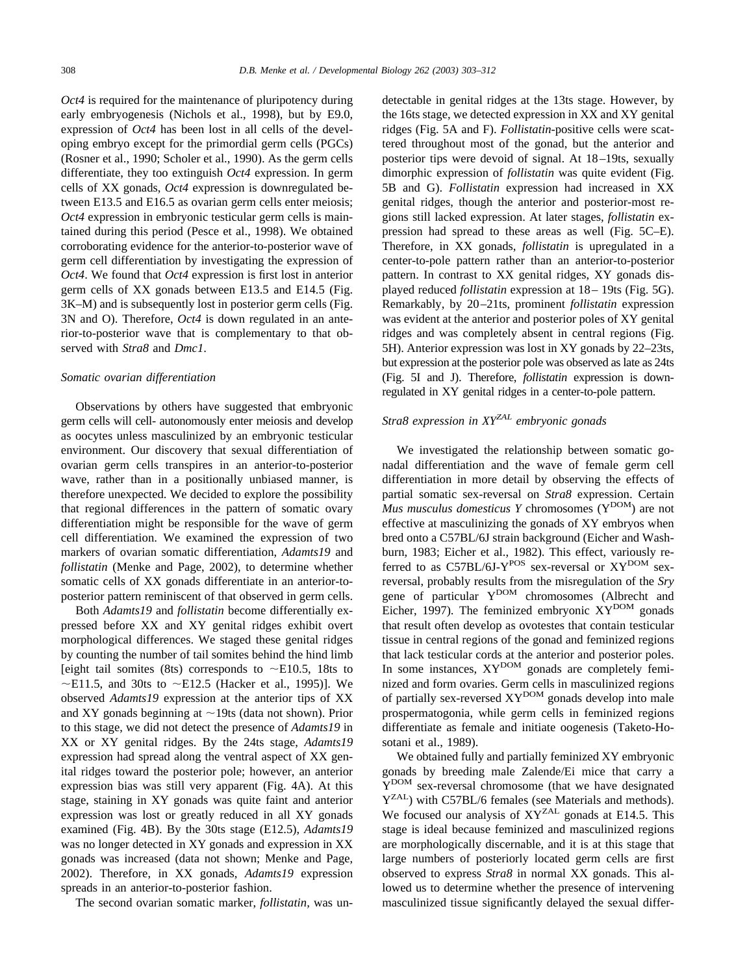*Oct4* is required for the maintenance of pluripotency during early embryogenesis [\(Nichols et al., 1998\)](#page-9-0), but by E9.0, expression of *Oct4* has been lost in all cells of the developing embryo except for the primordial germ cells (PGCs) [\(Rosner et al., 1990; Scholer et al., 1990\)](#page-9-0). As the germ cells differentiate, they too extinguish *Oct4* expression. In germ cells of XX gonads, *Oct4* expression is downregulated between E13.5 and E16.5 as ovarian germ cells enter meiosis; *Oct4* expression in embryonic testicular germ cells is maintained during this period [\(Pesce et al., 1998\).](#page-9-0) We obtained corroborating evidence for the anterior-to-posterior wave of germ cell differentiation by investigating the expression of *Oct4*. We found that *Oct4* expression is first lost in anterior germ cells of XX gonads between E13.5 and E14.5 [\(Fig.](#page-4-0) [3K–M](#page-4-0)) and is subsequently lost in posterior germ cells [\(Fig.](#page-4-0) [3N and O](#page-4-0)). Therefore, *Oct4* is down regulated in an anterior-to-posterior wave that is complementary to that observed with *Stra8* and *Dmc1*.

#### *Somatic ovarian differentiation*

Observations by others have suggested that embryonic germ cells will cell- autonomously enter meiosis and develop as oocytes unless masculinized by an embryonic testicular environment. Our discovery that sexual differentiation of ovarian germ cells transpires in an anterior-to-posterior wave, rather than in a positionally unbiased manner, is therefore unexpected. We decided to explore the possibility that regional differences in the pattern of somatic ovary differentiation might be responsible for the wave of germ cell differentiation. We examined the expression of two markers of ovarian somatic differentiation, *Adamts19* and *follistatin* [\(Menke and Page, 2002\),](#page-9-0) to determine whether somatic cells of XX gonads differentiate in an anterior-toposterior pattern reminiscent of that observed in germ cells.

Both *Adamts19* and *follistatin* become differentially expressed before XX and XY genital ridges exhibit overt morphological differences. We staged these genital ridges by counting the number of tail somites behind the hind limb [eight tail somites (8ts) corresponds to  $\sim$ E10.5, 18ts to  $\sim$ E11.5, and 30ts to  $\sim$ E12.5 [\(Hacker et al., 1995\)\]](#page-9-0). We observed *Adamts19* expression at the anterior tips of XX and XY gonads beginning at  $\sim$  19ts (data not shown). Prior to this stage, we did not detect the presence of *Adamts19* in XX or XY genital ridges. By the 24ts stage, *Adamts19* expression had spread along the ventral aspect of XX genital ridges toward the posterior pole; however, an anterior expression bias was still very apparent ([Fig. 4A\)](#page-4-0). At this stage, staining in XY gonads was quite faint and anterior expression was lost or greatly reduced in all XY gonads examined [\(Fig. 4B\)](#page-4-0). By the 30ts stage (E12.5), *Adamts19* was no longer detected in XY gonads and expression in XX gonads was increased (data not shown; [Menke and Page,](#page-9-0) [2002\)](#page-9-0). Therefore, in XX gonads, *Adamts19* expression spreads in an anterior-to-posterior fashion.

The second ovarian somatic marker, *follistatin,* was un-

detectable in genital ridges at the 13ts stage. However, by the 16ts stage, we detected expression in XX and XY genital ridges [\(Fig. 5A and F\)](#page-6-0). *Follistatin*-positive cells were scattered throughout most of the gonad, but the anterior and posterior tips were devoid of signal. At 18–19ts, sexually dimorphic expression of *follistatin* was quite evident [\(Fig.](#page-6-0) [5B and G\)](#page-6-0). *Follistatin* expression had increased in XX genital ridges, though the anterior and posterior-most regions still lacked expression. At later stages, *follistatin* expression had spread to these areas as well ([Fig. 5C–E](#page-6-0)). Therefore, in XX gonads, *follistatin* is upregulated in a center-to-pole pattern rather than an anterior-to-posterior pattern. In contrast to XX genital ridges, XY gonads displayed reduced *follistatin* expression at 18– 19ts [\(Fig. 5G](#page-6-0)). Remarkably, by 20–21ts, prominent *follistatin* expression was evident at the anterior and posterior poles of XY genital ridges and was completely absent in central regions [\(Fig.](#page-6-0) [5H](#page-6-0)). Anterior expression was lost in XY gonads by 22–23ts, but expression at the posterior pole was observed as late as 24ts [\(Fig. 5I and J\)](#page-6-0). Therefore, *follistatin* expression is downregulated in XY genital ridges in a center-to-pole pattern.

## *Stra8 expression in XYZAL embryonic gonads*

We investigated the relationship between somatic gonadal differentiation and the wave of female germ cell differentiation in more detail by observing the effects of partial somatic sex-reversal on *Stra8* expression. Certain *Mus musculus domesticus Y* chromosomes (Y<sup>DOM</sup>) are not effective at masculinizing the gonads of XY embryos when bred onto a C57BL/6J strain background [\(Eicher and Wash](#page-9-0)[burn, 1983; Eicher et al., 1982\)](#page-9-0). This effect, variously referred to as  $C57BL/6J-Y^{POS}$  sex-reversal or  $XY^{DOM}$  sexreversal, probably results from the misregulation of the *Sry* gene of particular Y<sup>DOM</sup> chromosomes [\(Albrecht and](#page-9-0) [Eicher, 1997\).](#page-9-0) The feminized embryonic  $XY^{DOM}$  gonads that result often develop as ovotestes that contain testicular tissue in central regions of the gonad and feminized regions that lack testicular cords at the anterior and posterior poles. In some instances,  $XY^{DOM}$  gonads are completely feminized and form ovaries. Germ cells in masculinized regions of partially sex-reversed XY<sup>DOM</sup> gonads develop into male prospermatogonia, while germ cells in feminized regions differentiate as female and initiate oogenesis [\(Taketo-Ho](#page-9-0)[sotani et al., 1989\).](#page-9-0)

We obtained fully and partially feminized XY embryonic gonads by breeding male Zalende/Ei mice that carry a Y<sup>DOM</sup> sex-reversal chromosome (that we have designated Y<sup>ZAL</sup>) with C57BL/6 females (see Materials and methods). We focused our analysis of XY<sup>ZAL</sup> gonads at E14.5. This stage is ideal because feminized and masculinized regions are morphologically discernable, and it is at this stage that large numbers of posteriorly located germ cells are first observed to express *Stra8* in normal XX gonads. This allowed us to determine whether the presence of intervening masculinized tissue significantly delayed the sexual differ-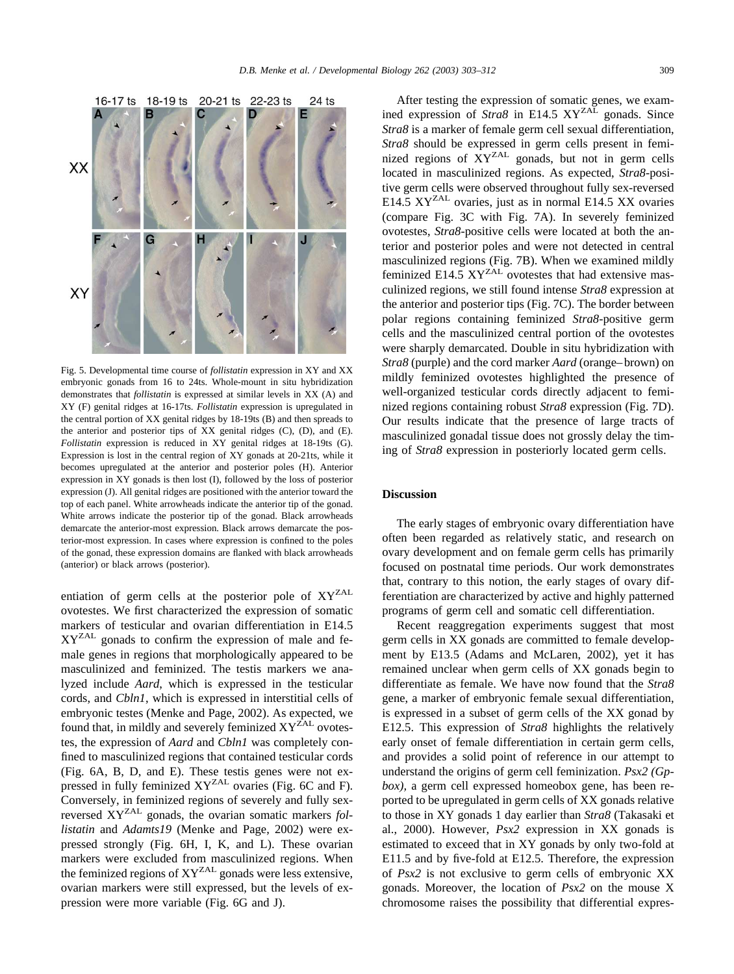<span id="page-6-0"></span>

Fig. 5. Developmental time course of *follistatin* expression in XY and XX embryonic gonads from 16 to 24ts. Whole-mount in situ hybridization demonstrates that *follistatin* is expressed at similar levels in XX (A) and XY (F) genital ridges at 16-17ts. *Follistatin* expression is upregulated in the central portion of XX genital ridges by 18-19ts (B) and then spreads to the anterior and posterior tips of XX genital ridges (C), (D), and (E). *Follistatin* expression is reduced in XY genital ridges at 18-19ts (G). Expression is lost in the central region of XY gonads at 20-21ts, while it becomes upregulated at the anterior and posterior poles (H). Anterior expression in XY gonads is then lost (I), followed by the loss of posterior expression (J). All genital ridges are positioned with the anterior toward the top of each panel. White arrowheads indicate the anterior tip of the gonad. White arrows indicate the posterior tip of the gonad. Black arrowheads demarcate the anterior-most expression. Black arrows demarcate the posterior-most expression. In cases where expression is confined to the poles of the gonad, these expression domains are flanked with black arrowheads (anterior) or black arrows (posterior).

entiation of germ cells at the posterior pole of XY<sup>ZAL</sup> ovotestes. We first characterized the expression of somatic markers of testicular and ovarian differentiation in E14.5 XYZAL gonads to confirm the expression of male and female genes in regions that morphologically appeared to be masculinized and feminized. The testis markers we analyzed include *Aard*, which is expressed in the testicular cords, and *Cbln1*, which is expressed in interstitial cells of embryonic testes [\(Menke and Page, 2002\)](#page-9-0). As expected, we found that, in mildly and severely feminized  $XY<sup>ZAL</sup>$  ovotestes, the expression of *Aard* and *Cbln1* was completely confined to masculinized regions that contained testicular cords [\(Fig. 6A, B, D, and E\)](#page-7-0). These testis genes were not ex-pressed in fully feminized XY<sup>ZAL</sup> ovaries [\(Fig. 6C and F](#page-7-0)). Conversely, in feminized regions of severely and fully sexreversed XYZAL gonads, the ovarian somatic markers *follistatin* and *Adamts19* [\(Menke and Page, 2002\)](#page-9-0) were expressed strongly ([Fig. 6H, I, K, and L\)](#page-7-0). These ovarian markers were excluded from masculinized regions. When the feminized regions of XY<sup>ZAL</sup> gonads were less extensive, ovarian markers were still expressed, but the levels of expression were more variable [\(Fig. 6G and J\)](#page-7-0).

After testing the expression of somatic genes, we examined expression of *Stra8* in E14.5 XY<sup>ZAL</sup> gonads. Since *Stra8* is a marker of female germ cell sexual differentiation, *Stra8* should be expressed in germ cells present in feminized regions of XYZAL gonads, but not in germ cells located in masculinized regions. As expected, *Stra8*-positive germ cells were observed throughout fully sex-reversed E14.5 XY<sup>ZAL</sup> ovaries, just as in normal E14.5 XX ovaries (compare [Fig. 3C](#page-4-0) with [Fig. 7A](#page-7-0)). In severely feminized ovotestes, *Stra8*-positive cells were located at both the anterior and posterior poles and were not detected in central masculinized regions ([Fig. 7B](#page-7-0)). When we examined mildly feminized E14.5  $XY<sup>ZAL</sup>$  ovotestes that had extensive masculinized regions, we still found intense *Stra8* expression at the anterior and posterior tips ([Fig. 7C](#page-7-0)). The border between polar regions containing feminized *Stra8*-positive germ cells and the masculinized central portion of the ovotestes were sharply demarcated. Double in situ hybridization with *Stra8* (purple) and the cord marker *Aard* (orange–brown) on mildly feminized ovotestes highlighted the presence of well-organized testicular cords directly adjacent to feminized regions containing robust *Stra8* expression [\(Fig. 7D](#page-7-0)). Our results indicate that the presence of large tracts of masculinized gonadal tissue does not grossly delay the timing of *Stra8* expression in posteriorly located germ cells.

## **Discussion**

The early stages of embryonic ovary differentiation have often been regarded as relatively static, and research on ovary development and on female germ cells has primarily focused on postnatal time periods. Our work demonstrates that, contrary to this notion, the early stages of ovary differentiation are characterized by active and highly patterned programs of germ cell and somatic cell differentiation.

Recent reaggregation experiments suggest that most germ cells in XX gonads are committed to female development by E13.5 [\(Adams and McLaren, 2002\),](#page-9-0) yet it has remained unclear when germ cells of XX gonads begin to differentiate as female. We have now found that the *Stra8* gene, a marker of embryonic female sexual differentiation, is expressed in a subset of germ cells of the XX gonad by E12.5. This expression of *Stra8* highlights the relatively early onset of female differentiation in certain germ cells, and provides a solid point of reference in our attempt to understand the origins of germ cell feminization. *Psx2 (Gpbox),* a germ cell expressed homeobox gene, has been reported to be upregulated in germ cells of XX gonads relative to those in XY gonads 1 day earlier than *Stra8* (Takasaki et al., 2000). However, *Psx2* expression in XX gonads is estimated to exceed that in XY gonads by only two-fold at E11.5 and by five-fold at E12.5. Therefore, the expression of *Psx2* is not exclusive to germ cells of embryonic XX gonads. Moreover, the location of *Psx2* on the mouse X chromosome raises the possibility that differential expres-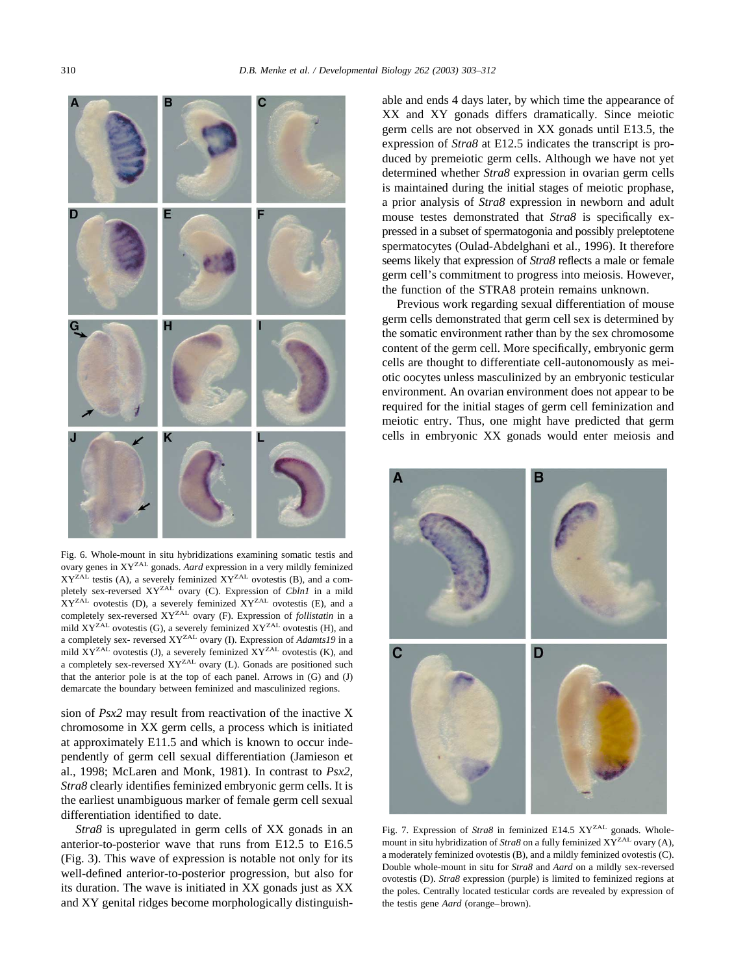<span id="page-7-0"></span>

Fig. 6. Whole-mount in situ hybridizations examining somatic testis and ovary genes in XYZAL gonads. *Aard* expression in a very mildly feminized  $XY<sup>ZAL</sup>$  testis (A), a severely feminized  $XY<sup>ZAL</sup>$  ovotestis (B), and a completely sex-reversed XY<sup>ZAL</sup> ovary (C). Expression of *Cbln1* in a mild  $XY^{ZAL}$  ovotestis (D), a severely feminized  $XY^{ZAL}$  ovotestis (E), and a completely sex-reversed XY<sup>ZAL</sup> ovary (F). Expression of *follistatin* in a mild  $XY^{ZAL}$  ovotestis (G), a severely feminized  $XY^{ZAL}$  ovotestis (H), and a completely sex- reversed XYZAL ovary (I). Expression of *Adamts19* in a mild  $XY^{ZAL}$  ovotestis (J), a severely feminized  $XY^{ZAL}$  ovotestis (K), and a completely sex-reversed  $XY^{ZAL}$  ovary (L). Gonads are positioned such that the anterior pole is at the top of each panel. Arrows in (G) and (J) demarcate the boundary between feminized and masculinized regions.

sion of *Psx2* may result from reactivation of the inactive X chromosome in XX germ cells, a process which is initiated at approximately E11.5 and which is known to occur independently of germ cell sexual differentiation [\(Jamieson et](#page-9-0) [al., 1998; McLaren and Monk, 1981\).](#page-9-0) In contrast to *Psx2, Stra8* clearly identifies feminized embryonic germ cells. It is the earliest unambiguous marker of female germ cell sexual differentiation identified to date.

*Stra8* is upregulated in germ cells of XX gonads in an anterior-to-posterior wave that runs from E12.5 to E16.5 [\(Fig. 3](#page-4-0)). This wave of expression is notable not only for its well-defined anterior-to-posterior progression, but also for its duration. The wave is initiated in XX gonads just as XX and XY genital ridges become morphologically distinguishable and ends 4 days later, by which time the appearance of XX and XY gonads differs dramatically. Since meiotic germ cells are not observed in XX gonads until E13.5, the expression of *Stra8* at E12.5 indicates the transcript is produced by premeiotic germ cells. Although we have not yet determined whether *Stra8* expression in ovarian germ cells is maintained during the initial stages of meiotic prophase, a prior analysis of *Stra8* expression in newborn and adult mouse testes demonstrated that *Stra8* is specifically expressed in a subset of spermatogonia and possibly preleptotene spermatocytes [\(Oulad-Abdelghani et al., 1996\).](#page-9-0) It therefore seems likely that expression of *Stra8* reflects a male or female germ cell's commitment to progress into meiosis. However, the function of the STRA8 protein remains unknown.

Previous work regarding sexual differentiation of mouse germ cells demonstrated that germ cell sex is determined by the somatic environment rather than by the sex chromosome content of the germ cell. More specifically, embryonic germ cells are thought to differentiate cell-autonomously as meiotic oocytes unless masculinized by an embryonic testicular environment. An ovarian environment does not appear to be required for the initial stages of germ cell feminization and meiotic entry. Thus, one might have predicted that germ cells in embryonic XX gonads would enter meiosis and



Fig. 7. Expression of *Stra8* in feminized E14.5 XY<sup>ZAL</sup> gonads. Wholemount in situ hybridization of  $Strab$  on a fully feminized  $XY^{ZAL}$  ovary (A), a moderately feminized ovotestis (B), and a mildly feminized ovotestis (C). Double whole-mount in situ for *Stra8* and *Aard* on a mildly sex-reversed ovotestis (D). *Stra8* expression (purple) is limited to feminized regions at the poles. Centrally located testicular cords are revealed by expression of the testis gene *Aard* (orange–brown).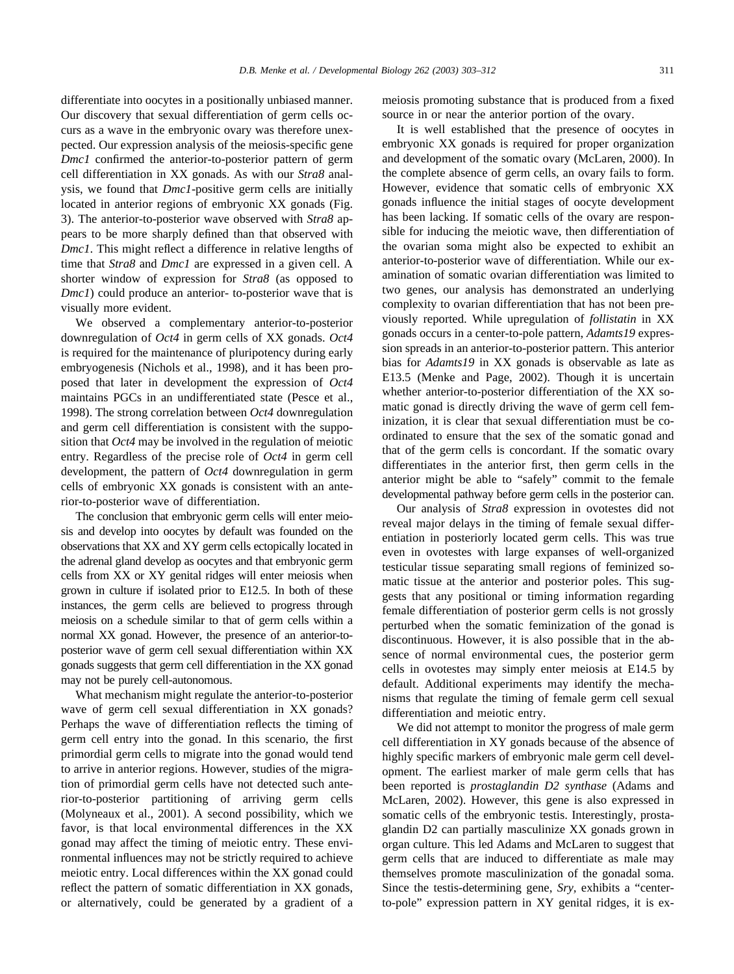differentiate into oocytes in a positionally unbiased manner. Our discovery that sexual differentiation of germ cells occurs as a wave in the embryonic ovary was therefore unexpected. Our expression analysis of the meiosis-specific gene *Dmc1* confirmed the anterior-to-posterior pattern of germ cell differentiation in XX gonads. As with our *Stra8* analysis, we found that *Dmc1*-positive germ cells are initially located in anterior regions of embryonic XX gonads [\(Fig.](#page-4-0) [3](#page-4-0)). The anterior-to-posterior wave observed with *Stra8* appears to be more sharply defined than that observed with *Dmc1*. This might reflect a difference in relative lengths of time that *Stra8* and *Dmc1* are expressed in a given cell. A shorter window of expression for *Stra8* (as opposed to *Dmc1*) could produce an anterior- to-posterior wave that is visually more evident.

We observed a complementary anterior-to-posterior downregulation of *Oct4* in germ cells of XX gonads. *Oct4* is required for the maintenance of pluripotency during early embryogenesis [\(Nichols et al., 1998\)](#page-9-0), and it has been proposed that later in development the expression of *Oct4* maintains PGCs in an undifferentiated state [\(Pesce et al.,](#page-9-0) [1998\)](#page-9-0). The strong correlation between *Oct4* downregulation and germ cell differentiation is consistent with the supposition that *Oct4* may be involved in the regulation of meiotic entry. Regardless of the precise role of *Oct4* in germ cell development, the pattern of *Oct4* downregulation in germ cells of embryonic XX gonads is consistent with an anterior-to-posterior wave of differentiation.

The conclusion that embryonic germ cells will enter meiosis and develop into oocytes by default was founded on the observations that XX and XY germ cells ectopically located in the adrenal gland develop as oocytes and that embryonic germ cells from XX or XY genital ridges will enter meiosis when grown in culture if isolated prior to E12.5. In both of these instances, the germ cells are believed to progress through meiosis on a schedule similar to that of germ cells within a normal XX gonad. However, the presence of an anterior-toposterior wave of germ cell sexual differentiation within XX gonads suggests that germ cell differentiation in the XX gonad may not be purely cell-autonomous.

What mechanism might regulate the anterior-to-posterior wave of germ cell sexual differentiation in XX gonads? Perhaps the wave of differentiation reflects the timing of germ cell entry into the gonad. In this scenario, the first primordial germ cells to migrate into the gonad would tend to arrive in anterior regions. However, studies of the migration of primordial germ cells have not detected such anterior-to-posterior partitioning of arriving germ cells [\(Molyneaux et al., 2001\)](#page-9-0). A second possibility, which we favor, is that local environmental differences in the XX gonad may affect the timing of meiotic entry. These environmental influences may not be strictly required to achieve meiotic entry. Local differences within the XX gonad could reflect the pattern of somatic differentiation in XX gonads, or alternatively, could be generated by a gradient of a meiosis promoting substance that is produced from a fixed source in or near the anterior portion of the ovary.

It is well established that the presence of oocytes in embryonic XX gonads is required for proper organization and development of the somatic ovary [\(McLaren, 2000\)](#page-9-0). In the complete absence of germ cells, an ovary fails to form. However, evidence that somatic cells of embryonic XX gonads influence the initial stages of oocyte development has been lacking. If somatic cells of the ovary are responsible for inducing the meiotic wave, then differentiation of the ovarian soma might also be expected to exhibit an anterior-to-posterior wave of differentiation. While our examination of somatic ovarian differentiation was limited to two genes, our analysis has demonstrated an underlying complexity to ovarian differentiation that has not been previously reported. While upregulation of *follistatin* in XX gonads occurs in a center-to-pole pattern, *Adamts19* expression spreads in an anterior-to-posterior pattern. This anterior bias for *Adamts19* in XX gonads is observable as late as E13.5 [\(Menke and Page, 2002\).](#page-9-0) Though it is uncertain whether anterior-to-posterior differentiation of the XX somatic gonad is directly driving the wave of germ cell feminization, it is clear that sexual differentiation must be coordinated to ensure that the sex of the somatic gonad and that of the germ cells is concordant. If the somatic ovary differentiates in the anterior first, then germ cells in the anterior might be able to "safely" commit to the female developmental pathway before germ cells in the posterior can.

Our analysis of *Stra8* expression in ovotestes did not reveal major delays in the timing of female sexual differentiation in posteriorly located germ cells. This was true even in ovotestes with large expanses of well-organized testicular tissue separating small regions of feminized somatic tissue at the anterior and posterior poles. This suggests that any positional or timing information regarding female differentiation of posterior germ cells is not grossly perturbed when the somatic feminization of the gonad is discontinuous. However, it is also possible that in the absence of normal environmental cues, the posterior germ cells in ovotestes may simply enter meiosis at E14.5 by default. Additional experiments may identify the mechanisms that regulate the timing of female germ cell sexual differentiation and meiotic entry.

We did not attempt to monitor the progress of male germ cell differentiation in XY gonads because of the absence of highly specific markers of embryonic male germ cell development. The earliest marker of male germ cells that has been reported is *prostaglandin D2 synthase* [\(Adams and](#page-9-0) [McLaren, 2002\).](#page-9-0) However, this gene is also expressed in somatic cells of the embryonic testis. Interestingly, prostaglandin D2 can partially masculinize XX gonads grown in organ culture. This led Adams and McLaren to suggest that germ cells that are induced to differentiate as male may themselves promote masculinization of the gonadal soma. Since the testis-determining gene, *Sry,* exhibits a "centerto-pole" expression pattern in XY genital ridges, it is ex-